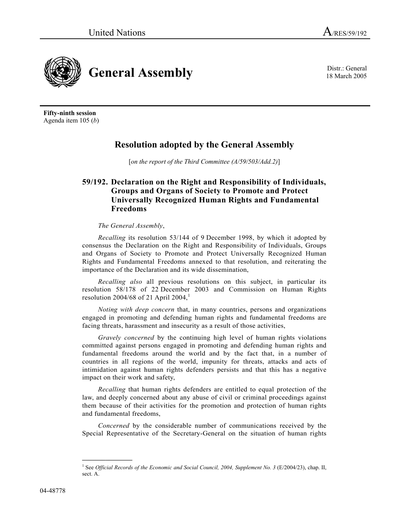18 March 2005



**Fifty-ninth session**  Agenda item 105 (*b*)

## **Resolution adopted by the General Assembly**

[*on the report of the Third Committee (A/59/503/Add.2)*]

## **59/192. Declaration on the Right and Responsibility of Individuals, Groups and Organs of Society to Promote and Protect Universally Recognized Human Rights and Fundamental Freedoms**

## *The General Assembly*,

*Recalling* its resolution 53/144 of 9 December 1998, by which it adopted by consensus the Declaration on the Right and Responsibility of Individuals, Groups and Organs of Society to Promote and Protect Universally Recognized Human Rights and Fundamental Freedoms annexed to that resolution, and reiterating the importance of the Declaration and its wide dissemination,

*Recalling also* all previous resolutions on this subject, in particular its resolution 58/178 of 22 December 2003 and Commission on Human Rights resolution 2004/68 of 21 April 2004,<sup>1</sup>

*Noting with deep concern* that, in many countries, persons and organizations engaged in promoting and defending human rights and fundamental freedoms are facing threats, harassment and insecurity as a result of those activities,

*Gravely concerned* by the continuing high level of human rights violations committed against persons engaged in promoting and defending human rights and fundamental freedoms around the world and by the fact that, in a number of countries in all regions of the world, impunity for threats, attacks and acts of intimidation against human rights defenders persists and that this has a negative impact on their work and safety,

*Recalling* that human rights defenders are entitled to equal protection of the law, and deeply concerned about any abuse of civil or criminal proceedings against them because of their activities for the promotion and protection of human rights and fundamental freedoms,

*Concerned* by the considerable number of communications received by the Special Representative of the Secretary-General on the situation of human rights

<sup>&</sup>lt;sup>1</sup> See *Official Records of the Economic and Social Council, 2004, Supplement No. 3* (E/2004/23), chap. II, sect. A.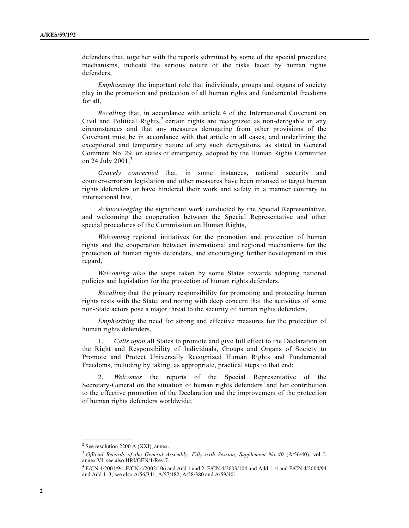defenders that, together with the reports submitted by some of the special procedure mechanisms, indicate the serious nature of the risks faced by human rights defenders,

*Emphasizing* the important role that individuals, groups and organs of society play in the promotion and protection of all human rights and fundamental freedoms for all,

*Recalling* that, in accordance with article 4 of the International Covenant on Civil and Political Rights,<sup>2</sup> certain rights are recognized as non-derogable in any circumstances and that any measures derogating from other provisions of the Covenant must be in accordance with that article in all cases, and underlining the exceptional and temporary nature of any such derogations, as stated in General Comment No. 29, on states of emergency, adopted by the Human Rights Committee on 24 July 2001,<sup>3</sup>

*Gravely concerned* that, in some instances, national security and counter-terrorism legislation and other measures have been misused to target human rights defenders or have hindered their work and safety in a manner contrary to international law,

*Acknowledging* the significant work conducted by the Special Representative, and welcoming the cooperation between the Special Representative and other special procedures of the Commission on Human Rights,

*Welcoming* regional initiatives for the promotion and protection of human rights and the cooperation between international and regional mechanisms for the protection of human rights defenders, and encouraging further development in this regard,

*Welcoming also* the steps taken by some States towards adopting national policies and legislation for the protection of human rights defenders,

*Recalling* that the primary responsibility for promoting and protecting human rights rests with the State, and noting with deep concern that the activities of some non-State actors pose a major threat to the security of human rights defenders,

*Emphasizing* the need for strong and effective measures for the protection of human rights defenders,

 1. *Calls upon* all States to promote and give full effect to the Declaration on the Right and Responsibility of Individuals, Groups and Organs of Society to Promote and Protect Universally Recognized Human Rights and Fundamental Freedoms, including by taking, as appropriate, practical steps to that end;

 2. *Welcomes* the reports of the Special Representative of the Secretary-General on the situation of human rights defenders<sup>4</sup> and her contribution to the effective promotion of the Declaration and the improvement of the protection of human rights defenders worldwide;

**\_\_\_\_\_\_\_\_\_\_\_\_\_\_\_** 

<sup>2</sup> See resolution 2200 A (XXI), annex.

<sup>3</sup> *Official Records of the General Assembly, Fifty-sixth Session, Supplement No. 40* (A/56/40), vol. I, annex VI; see also HRI/GEN/1/Rev.7.

<sup>4</sup> E/CN.4/2001/94, E/CN.4/2002/106 and Add.1 and 2, E/CN.4/2003/104 and Add.1–4 and E/CN.4/2004/94 and Add.1–3; see also A/56/341, A/57/182, A/58/380 and A/59/401.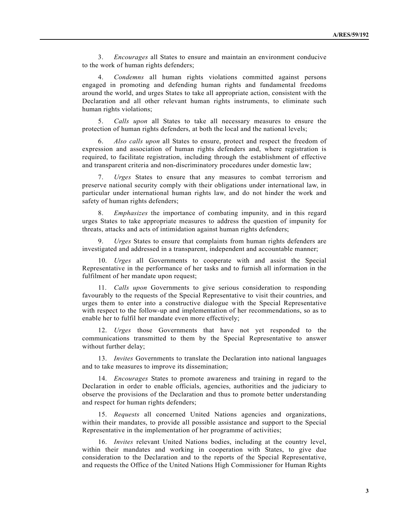3. *Encourages* all States to ensure and maintain an environment conducive to the work of human rights defenders;

 4. *Condemns* all human rights violations committed against persons engaged in promoting and defending human rights and fundamental freedoms around the world, and urges States to take all appropriate action, consistent with the Declaration and all other relevant human rights instruments, to eliminate such human rights violations;

 5. *Calls upon* all States to take all necessary measures to ensure the protection of human rights defenders, at both the local and the national levels;

 6. *Also calls upon* all States to ensure, protect and respect the freedom of expression and association of human rights defenders and, where registration is required, to facilitate registration, including through the establishment of effective and transparent criteria and non-discriminatory procedures under domestic law;

 7. *Urges* States to ensure that any measures to combat terrorism and preserve national security comply with their obligations under international law, in particular under international human rights law, and do not hinder the work and safety of human rights defenders;

 8. *Emphasizes* the importance of combating impunity, and in this regard urges States to take appropriate measures to address the question of impunity for threats, attacks and acts of intimidation against human rights defenders;

 9. *Urges* States to ensure that complaints from human rights defenders are investigated and addressed in a transparent, independent and accountable manner;

 10. *Urges* all Governments to cooperate with and assist the Special Representative in the performance of her tasks and to furnish all information in the fulfilment of her mandate upon request;

 11. *Calls upon* Governments to give serious consideration to responding favourably to the requests of the Special Representative to visit their countries, and urges them to enter into a constructive dialogue with the Special Representative with respect to the follow-up and implementation of her recommendations, so as to enable her to fulfil her mandate even more effectively;

 12. *Urges* those Governments that have not yet responded to the communications transmitted to them by the Special Representative to answer without further delay;

 13. *Invites* Governments to translate the Declaration into national languages and to take measures to improve its dissemination;

 14. *Encourages* States to promote awareness and training in regard to the Declaration in order to enable officials, agencies, authorities and the judiciary to observe the provisions of the Declaration and thus to promote better understanding and respect for human rights defenders;

 15. *Requests* all concerned United Nations agencies and organizations, within their mandates, to provide all possible assistance and support to the Special Representative in the implementation of her programme of activities;

 16. *Invites* relevant United Nations bodies, including at the country level, within their mandates and working in cooperation with States, to give due consideration to the Declaration and to the reports of the Special Representative, and requests the Office of the United Nations High Commissioner for Human Rights